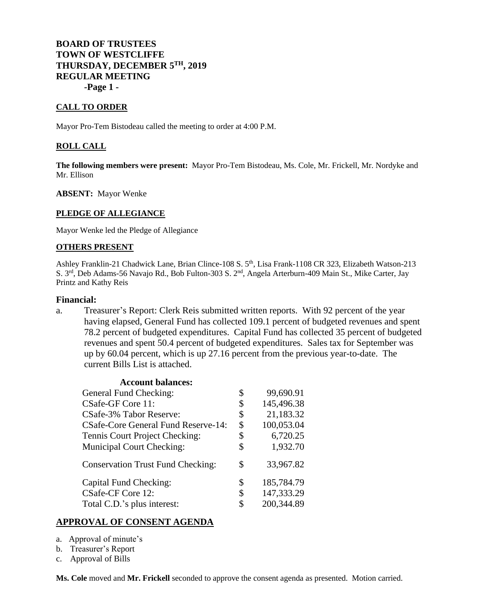# **BOARD OF TRUSTEES TOWN OF WESTCLIFFE THURSDAY, DECEMBER 5TH, 2019 REGULAR MEETING -Page 1 -**

### **CALL TO ORDER**

Mayor Pro-Tem Bistodeau called the meeting to order at 4:00 P.M.

#### **ROLL CALL**

**The following members were present:** Mayor Pro-Tem Bistodeau, Ms. Cole, Mr. Frickell, Mr. Nordyke and Mr. Ellison

#### **ABSENT:** Mayor Wenke

#### **PLEDGE OF ALLEGIANCE**

Mayor Wenke led the Pledge of Allegiance

#### **OTHERS PRESENT**

Ashley Franklin-21 Chadwick Lane, Brian Clince-108 S. 5th, Lisa Frank-1108 CR 323, Elizabeth Watson-213 S. 3<sup>rd</sup>, Deb Adams-56 Navajo Rd., Bob Fulton-303 S. 2<sup>nd</sup>, Angela Arterburn-409 Main St., Mike Carter, Jay Printz and Kathy Reis

#### **Financial:**

a. Treasurer's Report: Clerk Reis submitted written reports. With 92 percent of the year having elapsed, General Fund has collected 109.1 percent of budgeted revenues and spent 78.2 percent of budgeted expenditures. Capital Fund has collected 35 percent of budgeted revenues and spent 50.4 percent of budgeted expenditures. Sales tax for September was up by 60.04 percent, which is up 27.16 percent from the previous year-to-date. The current Bills List is attached.

| <b>Account balances:</b>                   |                  |
|--------------------------------------------|------------------|
| <b>General Fund Checking:</b>              | \$<br>99,690.91  |
| CSafe-GF Core 11:                          | \$<br>145,496.38 |
| <b>CSafe-3% Tabor Reserve:</b>             | \$<br>21,183.32  |
| <b>CSafe-Core General Fund Reserve-14:</b> | \$<br>100,053.04 |
| Tennis Court Project Checking:             | \$<br>6,720.25   |
| <b>Municipal Court Checking:</b>           | \$<br>1,932.70   |
| <b>Conservation Trust Fund Checking:</b>   | \$<br>33,967.82  |
| Capital Fund Checking:                     | \$<br>185,784.79 |
| CSafe-CF Core 12:                          | \$<br>147,333.29 |
| Total C.D.'s plus interest:                | \$<br>200,344.89 |

#### **APPROVAL OF CONSENT AGENDA**

- a. Approval of minute's
- b. Treasurer's Report
- c. Approval of Bills

**Ms. Cole** moved and **Mr. Frickell** seconded to approve the consent agenda as presented. Motion carried.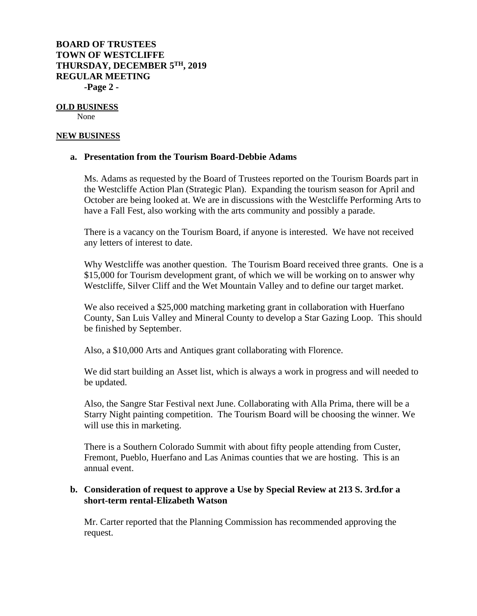# **BOARD OF TRUSTEES TOWN OF WESTCLIFFE THURSDAY, DECEMBER 5TH, 2019 REGULAR MEETING -Page 2 -**

# **OLD BUSINESS**

None

### **NEW BUSINESS**

### **a. Presentation from the Tourism Board-Debbie Adams**

Ms. Adams as requested by the Board of Trustees reported on the Tourism Boards part in the Westcliffe Action Plan (Strategic Plan). Expanding the tourism season for April and October are being looked at. We are in discussions with the Westcliffe Performing Arts to have a Fall Fest, also working with the arts community and possibly a parade.

There is a vacancy on the Tourism Board, if anyone is interested. We have not received any letters of interest to date.

Why Westcliffe was another question. The Tourism Board received three grants. One is a \$15,000 for Tourism development grant, of which we will be working on to answer why Westcliffe, Silver Cliff and the Wet Mountain Valley and to define our target market.

We also received a \$25,000 matching marketing grant in collaboration with Huerfano County, San Luis Valley and Mineral County to develop a Star Gazing Loop. This should be finished by September.

Also, a \$10,000 Arts and Antiques grant collaborating with Florence.

We did start building an Asset list, which is always a work in progress and will needed to be updated.

Also, the Sangre Star Festival next June. Collaborating with Alla Prima, there will be a Starry Night painting competition. The Tourism Board will be choosing the winner. We will use this in marketing.

There is a Southern Colorado Summit with about fifty people attending from Custer, Fremont, Pueblo, Huerfano and Las Animas counties that we are hosting. This is an annual event.

## **b. Consideration of request to approve a Use by Special Review at 213 S. 3rd.for a short-term rental-Elizabeth Watson**

Mr. Carter reported that the Planning Commission has recommended approving the request.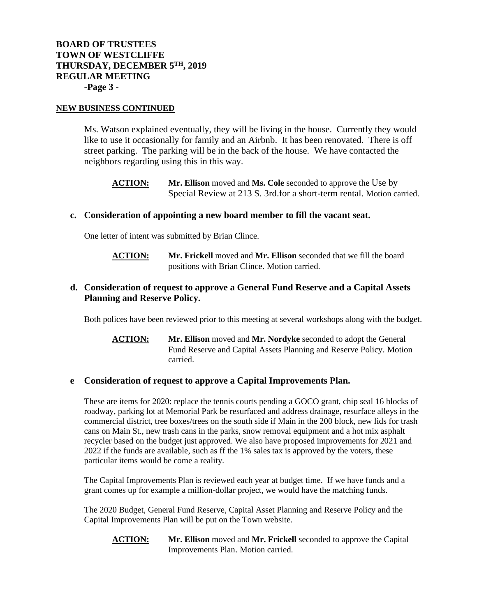# **BOARD OF TRUSTEES TOWN OF WESTCLIFFE THURSDAY, DECEMBER 5TH, 2019 REGULAR MEETING -Page 3 -**

#### **NEW BUSINESS CONTINUED**

Ms. Watson explained eventually, they will be living in the house. Currently they would like to use it occasionally for family and an Airbnb. It has been renovated. There is off street parking. The parking will be in the back of the house. We have contacted the neighbors regarding using this in this way.

**ACTION: Mr. Ellison** moved and **Ms. Cole** seconded to approve the Use by Special Review at 213 S. 3rd.for a short-term rental. Motion carried.

#### **c. Consideration of appointing a new board member to fill the vacant seat.**

One letter of intent was submitted by Brian Clince.

**ACTION: Mr. Frickell** moved and **Mr. Ellison** seconded that we fill the board positions with Brian Clince. Motion carried.

## **d. Consideration of request to approve a General Fund Reserve and a Capital Assets Planning and Reserve Policy.**

Both polices have been reviewed prior to this meeting at several workshops along with the budget.

**ACTION: Mr. Ellison** moved and **Mr. Nordyke** seconded to adopt the General Fund Reserve and Capital Assets Planning and Reserve Policy. Motion carried.

### **e Consideration of request to approve a Capital Improvements Plan.**

These are items for 2020: replace the tennis courts pending a GOCO grant, chip seal 16 blocks of roadway, parking lot at Memorial Park be resurfaced and address drainage, resurface alleys in the commercial district, tree boxes/trees on the south side if Main in the 200 block, new lids for trash cans on Main St., new trash cans in the parks, snow removal equipment and a hot mix asphalt recycler based on the budget just approved. We also have proposed improvements for 2021 and 2022 if the funds are available, such as ff the 1% sales tax is approved by the voters, these particular items would be come a reality.

The Capital Improvements Plan is reviewed each year at budget time. If we have funds and a grant comes up for example a million-dollar project, we would have the matching funds.

The 2020 Budget, General Fund Reserve, Capital Asset Planning and Reserve Policy and the Capital Improvements Plan will be put on the Town website.

**ACTION: Mr. Ellison** moved and **Mr. Frickell** seconded to approve the Capital Improvements Plan. Motion carried.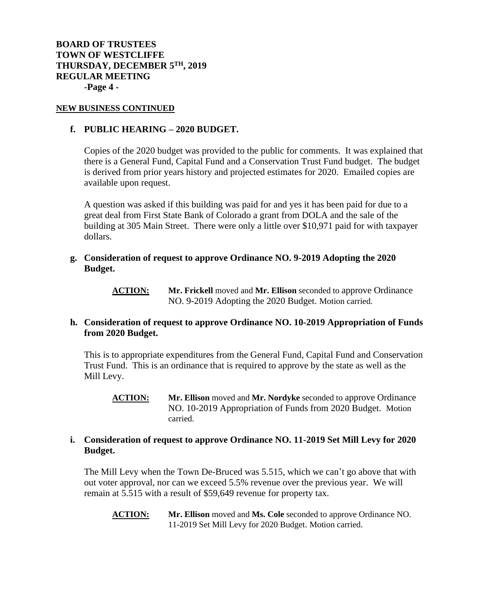**BOARD OF TRUSTEES TOWN OF WESTCLIFFE THURSDAY, DECEMBER 5TH, 2019 REGULAR MEETING -Page 4 -**

#### **NEW BUSINESS CONTINUED**

### **f. PUBLIC HEARING – 2020 BUDGET.**

Copies of the 2020 budget was provided to the public for comments. It was explained that there is a General Fund, Capital Fund and a Conservation Trust Fund budget. The budget is derived from prior years history and projected estimates for 2020. Emailed copies are available upon request.

A question was asked if this building was paid for and yes it has been paid for due to a great deal from First State Bank of Colorado a grant from DOLA and the sale of the building at 305 Main Street. There were only a little over \$10,971 paid for with taxpayer dollars.

**g. Consideration of request to approve Ordinance NO. 9-2019 Adopting the 2020 Budget.**

> **ACTION: Mr. Frickell** moved and **Mr. Ellison** seconded to approve Ordinance NO. 9-2019 Adopting the 2020 Budget. Motion carried.

### **h. Consideration of request to approve Ordinance NO. 10-2019 Appropriation of Funds from 2020 Budget.**

This is to appropriate expenditures from the General Fund, Capital Fund and Conservation Trust Fund. This is an ordinance that is required to approve by the state as well as the Mill Levy.

**ACTION: Mr. Ellison** moved and **Mr. Nordyke** seconded to approve Ordinance NO. 10-2019 Appropriation of Funds from 2020 Budget. Motion carried.

### **i. Consideration of request to approve Ordinance NO. 11-2019 Set Mill Levy for 2020 Budget.**

The Mill Levy when the Town De-Bruced was 5.515, which we can't go above that with out voter approval, nor can we exceed 5.5% revenue over the previous year. We will remain at 5.515 with a result of \$59,649 revenue for property tax.

**ACTION: Mr. Ellison** moved and **Ms. Cole** seconded to approve Ordinance NO. 11-2019 Set Mill Levy for 2020 Budget. Motion carried.